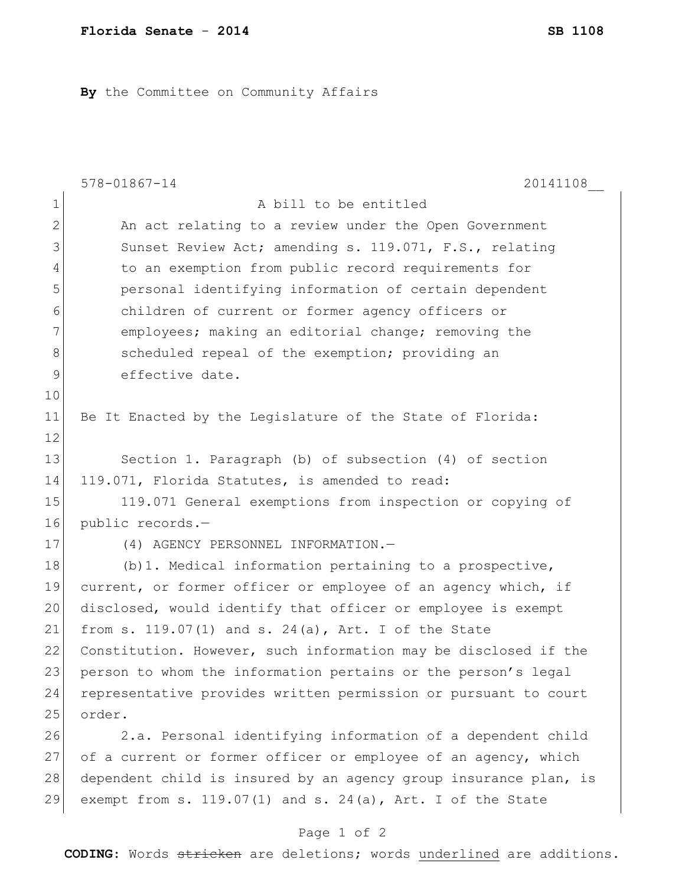**By** the Committee on Community Affairs

|              | 20141108<br>$578 - 01867 - 14$                                   |
|--------------|------------------------------------------------------------------|
| $\mathbf 1$  | A bill to be entitled                                            |
| $\mathbf{2}$ | An act relating to a review under the Open Government            |
| 3            | Sunset Review Act; amending s. 119.071, F.S., relating           |
| 4            | to an exemption from public record requirements for              |
| 5            | personal identifying information of certain dependent            |
| 6            | children of current or former agency officers or                 |
| 7            | employees; making an editorial change; removing the              |
| 8            | scheduled repeal of the exemption; providing an                  |
| 9            | effective date.                                                  |
| 10           |                                                                  |
| 11           | Be It Enacted by the Legislature of the State of Florida:        |
| 12           |                                                                  |
| 13           | Section 1. Paragraph (b) of subsection (4) of section            |
| 14           | 119.071, Florida Statutes, is amended to read:                   |
| 15           | 119.071 General exemptions from inspection or copying of         |
| 16           | public records.-                                                 |
| 17           | (4) AGENCY PERSONNEL INFORMATION.-                               |
| 18           | $(b)$ 1. Medical information pertaining to a prospective,        |
| 19           | current, or former officer or employee of an agency which, if    |
| 20           | disclosed, would identify that officer or employee is exempt     |
| 21           | from s. $119.07(1)$ and s. $24(a)$ , Art. I of the State         |
| 22           | Constitution. However, such information may be disclosed if the  |
| 23           | person to whom the information pertains or the person's legal    |
| 24           | representative provides written permission or pursuant to court  |
| 25           | order.                                                           |
| 26           | 2.a. Personal identifying information of a dependent child       |
| 27           | of a current or former officer or employee of an agency, which   |
| 28           | dependent child is insured by an agency group insurance plan, is |
| 29           | exempt from s. $119.07(1)$ and s. $24(a)$ , Art. I of the State  |
|              |                                                                  |

## Page 1 of 2

**CODING**: Words stricken are deletions; words underlined are additions.